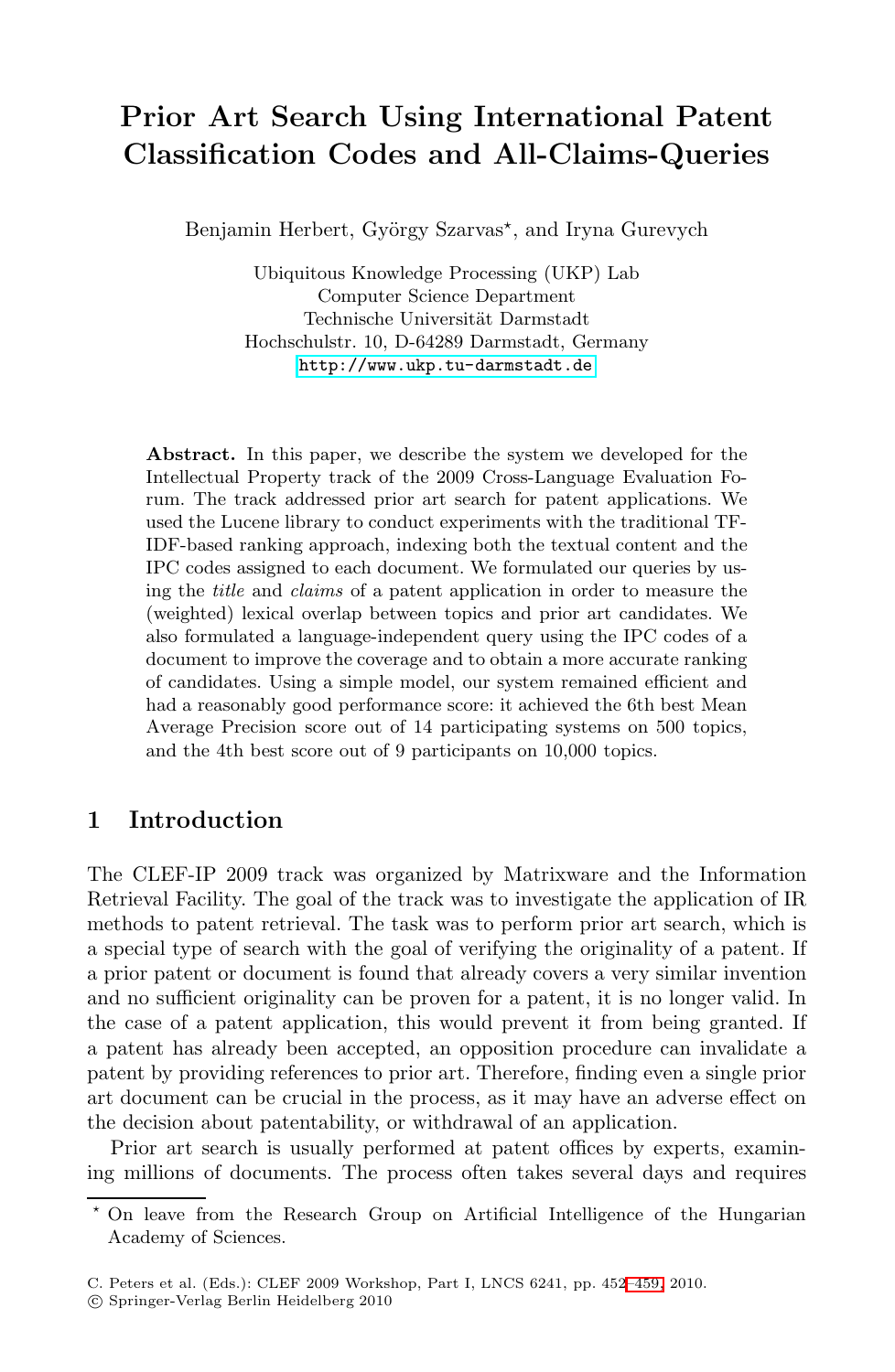# **Prior Art Search Using International Patent [Classification](http://www.ukp.tu-darmstadt.de) [Codes](http://www.ukp.tu-darmstadt.de) and All-Claims-Queries**

Benjamin Herbert, György Szarvas\*, and Iryna Gurevych

Ubiquitous Knowledge Processing (UKP) Lab Computer Science Department Technische Universität Darmstadt Hochschulstr. 10, D-64289 Darmstadt, Germany http://www.ukp.tu-darmstadt.de

**Abstract.** In this paper, we describe the system we developed for the Intellectual Property track of the 2009 Cross-Language Evaluation Forum. The track addressed prior art search for patent applications. We used the Lucene library to conduct experiments with the traditional TF-IDF-based ranking approach, indexing both the textual content and the IPC codes assigned to each document. We formulated our queries by using the *title* and *claims* of a patent application in order to measure the (weighted) lexical overlap between topics and prior art candidates. We also formulated a language-independent query using the IPC codes of a document to improve the coverage and to obtain a more accurate ranking of candidates. Using a simple model, our system remained efficient and had a reasonably good performance score: it achieved the 6th best Mean Average Precision score out of 14 participating systems on 500 topics, and the 4th best score out of 9 participants on 10,000 topics.

## **1 Introduction**

The CLEF-IP 2009 track was organized by Matrixware and the Information Retrieval Facility. The goal of the track was to investigate the application of IR methods to patent retrieval. The task was to perform prior art search, which is a special type of search with the goal of verifying the originality of a patent. If a prior patent or document is found that already covers a very similar invention and no sufficient originality can be proven for a patent, it is no longer valid. In the case of a patent application, this would prevent it from being granted. If a patent has already been accepted, an opposition procedure can invalidate a patent by providing references to prior art. Therefore, finding even a single prior art document can be crucial in the proc[ess,](#page-7-0) [a](#page-7-0)s it may have an adverse effect on the decision about patentability, or withdrawal of an application.

Prior art search is usually performed at patent offices by experts, examining millions of documents. The process often takes several days and requires

 $\star$  On leave from the Research Group on Artificial Intelligence of the Hungarian Academy of Sciences.

C. Peters et al. (Eds.): CLEF 2009 Workshop, Part I, LNCS 6241, pp. 452–459, 2010.

<sup>-</sup>c Springer-Verlag Berlin Heidelberg 2010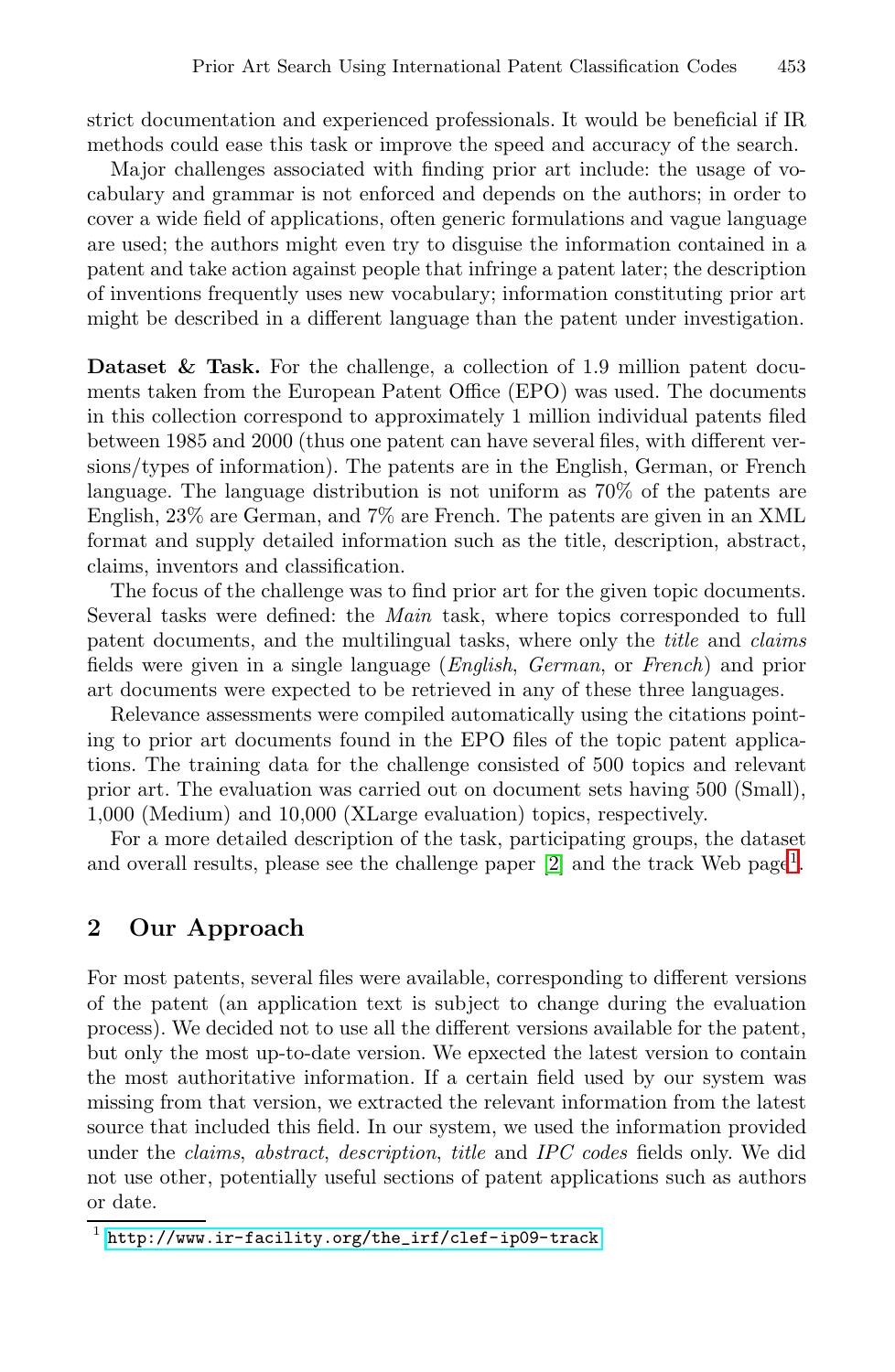strict documentation and experienced professionals. It would be beneficial if IR methods could ease this task or improve the speed and accuracy of the search.

Major challenges associated with finding prior art include: the usage of vocabulary and grammar is not enforced and depends on the authors; in order to cover a wide field of applications, often generic formulations and vague language are used; the authors might even try to disguise the information contained in a patent and take action against people that infringe a patent later; the description of inventions frequently uses new vocabulary; information constituting prior art might be described in a different language than the patent under investigation.

**Dataset & Task.** For the challenge, a collection of 1.9 million patent documents taken from the European Patent Office (EPO) was used. The documents in this collection correspond to approximately 1 million individual patents filed between 1985 and 2000 (thus one patent can have several files, with different versions/types of information). The patents are in the English, German, or French language. The language distribution is not uniform as 70% of the patents are English, 23% are German, and 7% are French. The patents are given in an XML format and supply detailed information such as the title, description, abstract, claims, inventors and classification.

The focus of the challenge was to find prior art for the given topic documents. Several tasks were defined: the *Main* task, where topics corresponded to full patent documents, and the multilingual tasks, where only the *title* and *claims* fields were given in a single la[ngu](#page-7-1)age (*English*, *German*, [or](#page-1-0) *French*) and prior art documents were expected to be retrieved in any of these three languages.

Relevance assessments were compiled automatically using the citations pointing to prior art documents found in the EPO files of the topic patent applications. The training data for the challenge consisted of 500 topics and relevant prior art. The evaluation was carried out on document sets having 500 (Small), 1,000 (Medium) and 10,000 (XLarge evaluation) topics, respectively.

For a more detailed description of the task, participating groups, the dataset and overall results, please see the challenge paper  $[2]$  and the track Web page<sup>1</sup>.

## **2 Our Approach**

<span id="page-1-0"></span>For most patents, several files were available, corresponding to different versions of the patent (an application text is subject to change during the evaluation process). We decided not to use all the different versions available for the patent, [but only the most up-to-date version.](http://www.ir-facility.org/the_irf/clef-ip09-track) We epxected the latest version to contain the most authoritative information. If a certain field used by our system was missing from that version, we extracted the relevant information from the latest source that included this field. In our system, we used the information provided under the *claims*, *abstract*, *description*, *title* and *IPC codes* fields only. We did not use other, potentially useful sections of patent applications such as authors or date.

 $\frac{1}{1}$  http://www.ir-facility.org/the\_irf/clef-ip09-track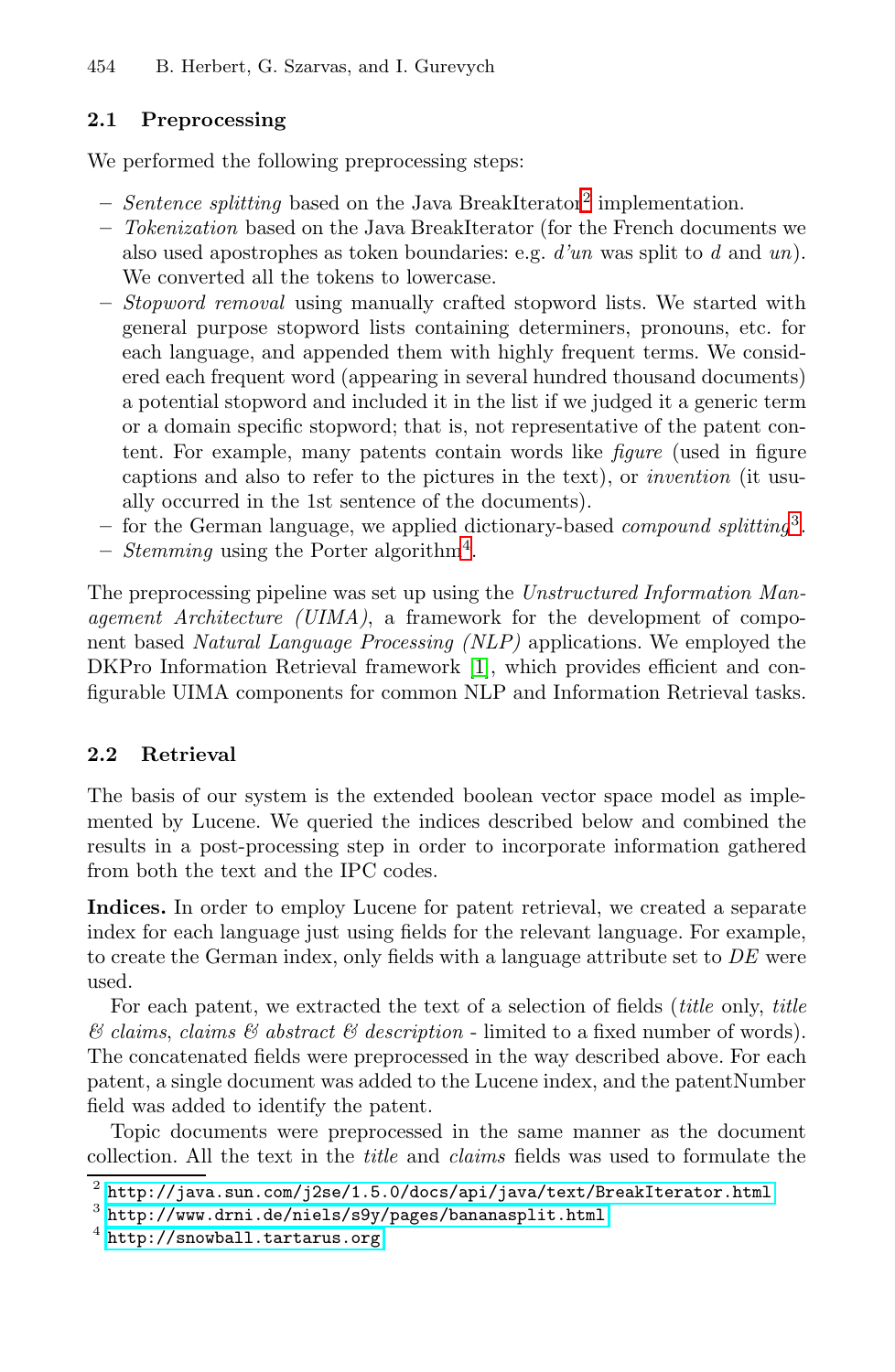454 B. Herbert, G. Szarvas, and I. Gurevych

#### **2.1 Preprocessing**

We performed the following preprocessing steps:

- **–** *Sentence splitting* based on the Java BreakIterator<sup>2</sup> implementation.
- **–** *Tokenization* based on the Java BreakIterator (for the French documents we also used apostrophes as token boundaries: e.g. *d'un* was split to *d* and *un*). We converted all the tokens to lowercase.
- **–** *Stopword removal* using manually crafted stopword lists. We started with general purpose stopword lists containing determine[rs,](#page-2-0) pronouns, etc. for each language, an[d](#page-2-1) appended them with highly frequent terms. We considered each frequent word (appearing in several hundred thousand documents) a potential stopword and included it in the list if we judged it a generic term or a domain specific stopword; that is, not representative of the patent content. For example, many patents contain words like *figure* (used in figure captions and also t[o r](#page-7-2)efer to the pictures in the text), or *invention* (it usually occurred in the 1st sentence of the documents).
- **–** for the German language, we applied dictionary-based *compound splitting*<sup>3</sup>.
- **–** *Stemming* using the Porter algorithm<sup>4</sup>.

The preprocessing pipeline was set up using the *Unstructured Information Management Architecture (UIMA)*, a framework for the development of component based *Natural Language Processing (NLP)* applications. We employed the DKPro Information Retrieval framework [1], which provides efficient and configurable UIMA components for common NLP and Information Retrieval tasks.

## **2.2 Retrieval**

The basis of our system is the extended boolean vector space model as implemented by Lucene. We queried the indices described below and combined the results in a post-processing step in order to incorporate information gathered from both the text and the IPC codes.

Indices. In order to employ Lucene for patent retrieval, we created a separate index for each language just using fields for the relevant language. For example, to create the German index, only fields with a language attribute set to *DE* were used.

<span id="page-2-1"></span><span id="page-2-0"></span>[For each patent, we extracted the text of a selection of](http://java.sun.com/j2se/1.5.0/docs/api/java/text/BreakIterator.html) fields (*title* only, *title*  $\&$  $\&$  *[claims](http://www.drni.de/niels/s9y/pages/bananasplit.html)*, *claims*  $\&$  *[abstract](http://www.drni.de/niels/s9y/pages/bananasplit.html)*  $\&$  *[descripti](http://www.drni.de/niels/s9y/pages/bananasplit.html)on* - limited to a fixed number of words). [The](http://snowball.tartarus.org) [concatena](http://snowball.tartarus.org)ted fields were preprocessed in the way described above. For each patent, a single document was added to the Lucene index, and the patentNumber field was added to identify the patent.

Topic documents were preprocessed in the same manner as the document collection. All the text in the *title* and *claims* fields was used to formulate the

 $2$  http://java.sun.com/j2se/1.5.0/docs/api/java/text/BreakIterator.html

<sup>3</sup> http://www.drni.de/niels/s9y/pages/bananasplit.html

<sup>4</sup> http://snowball.tartarus.org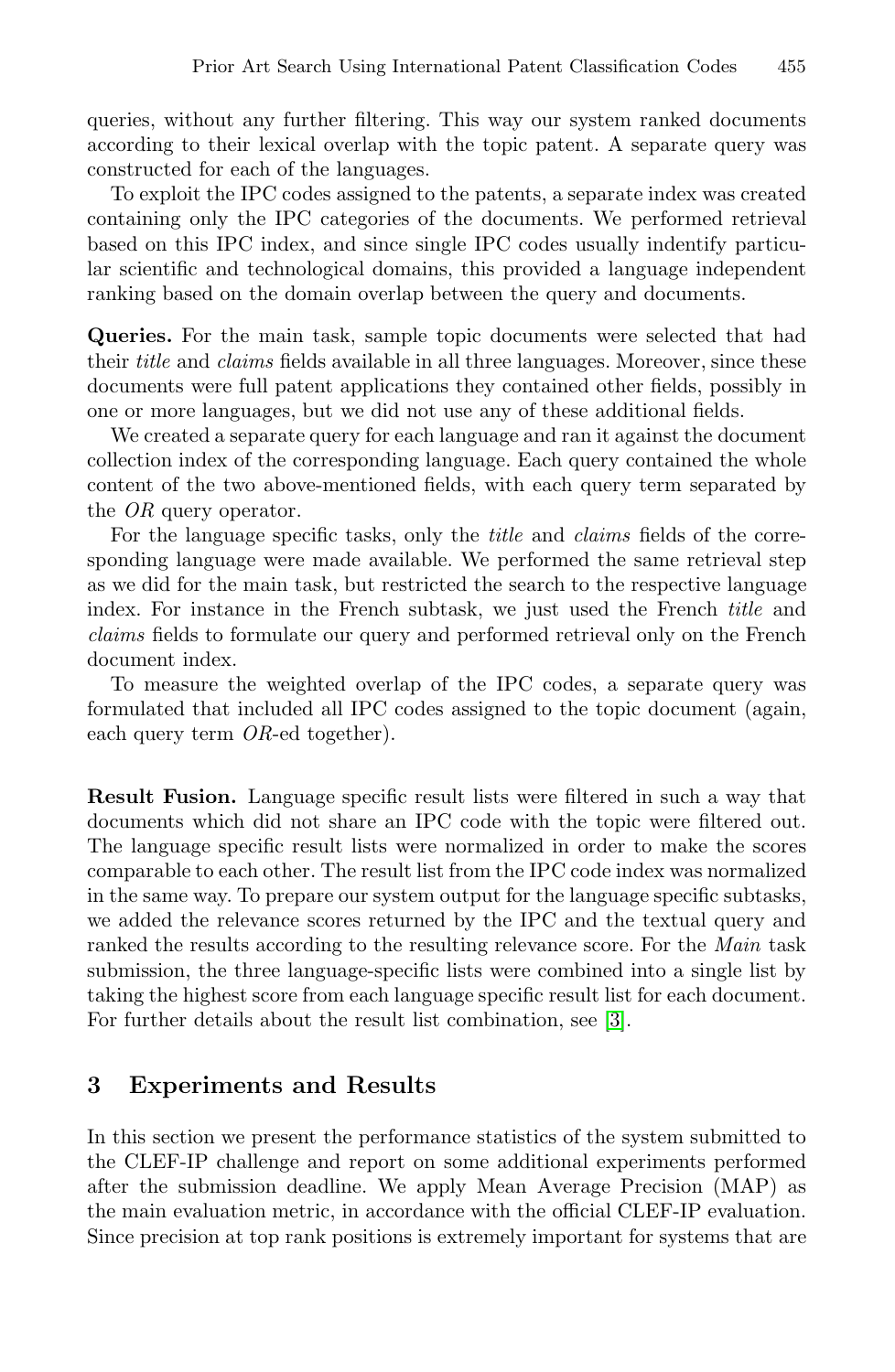queries, without any further filtering. This way our system ranked documents according to their lexical overlap with the topic patent. A separate query was constructed for each of the languages.

To exploit the IPC codes assigned to the patents, a separate index was created containing only the IPC categories of the documents. We performed retrieval based on this IPC index, and since single IPC codes usually indentify particular scientific and technological domains, this provided a language independent ranking based on the domain overlap between the query and documents.

**Queries.** For the main task, sample topic documents were selected that had their *title* and *claims* fields available in all three languages. Moreover, since these documents were full patent applications they contained other fields, possibly in one or more languages, but we did not use any of these additional fields.

We created a separate query for each language and ran it against the document collection index of the corresponding language. Each query contained the whole content of the two above-mentioned fields, with each query term separated by the *OR* query operator.

For the language specific tasks, only the *title* and *claims* fields of the corresponding language were made available. We performed the same retrieval step as we did for the main task, but restricted the search to the respective language index. For instance in the French subtask, we just used the French *title* and *claims* fields to formulate our query and performed retrieval only on the French document index.

To measure the weighted overlap of the IPC codes, a separate query was formulated that included all IPC codes assigned to the topic document (again, each query term *OR*-ed together).

**Result Fusion.** Language specific result lists were filtered in such a way that documents which did not share an I[PC](#page-7-3) code with the topic were filtered out. The language specific result lists were normalized in order to make the scores comparable to each other. The result list from the IPC code index was normalized in the same way. To prepare our system output for the language specific subtasks, we added the relevance scores returned by the IPC and the textual query and ranked the results according to the resulting relevance score. For the *Main* task submission, the three language-specific lists were combined into a single list by taking the highest score from each language specific result list for each document. For further details about the result list combination, see [3].

## **3 Experiments and Results**

In this section we present the performance statistics of the system submitted to the CLEF-IP challenge and report on some additional experiments performed after the submission deadline. We apply Mean Average Precision (MAP) as the main evaluation metric, in accordance with the official CLEF-IP evaluation. Since precision at top rank positions is extremely important for systems that are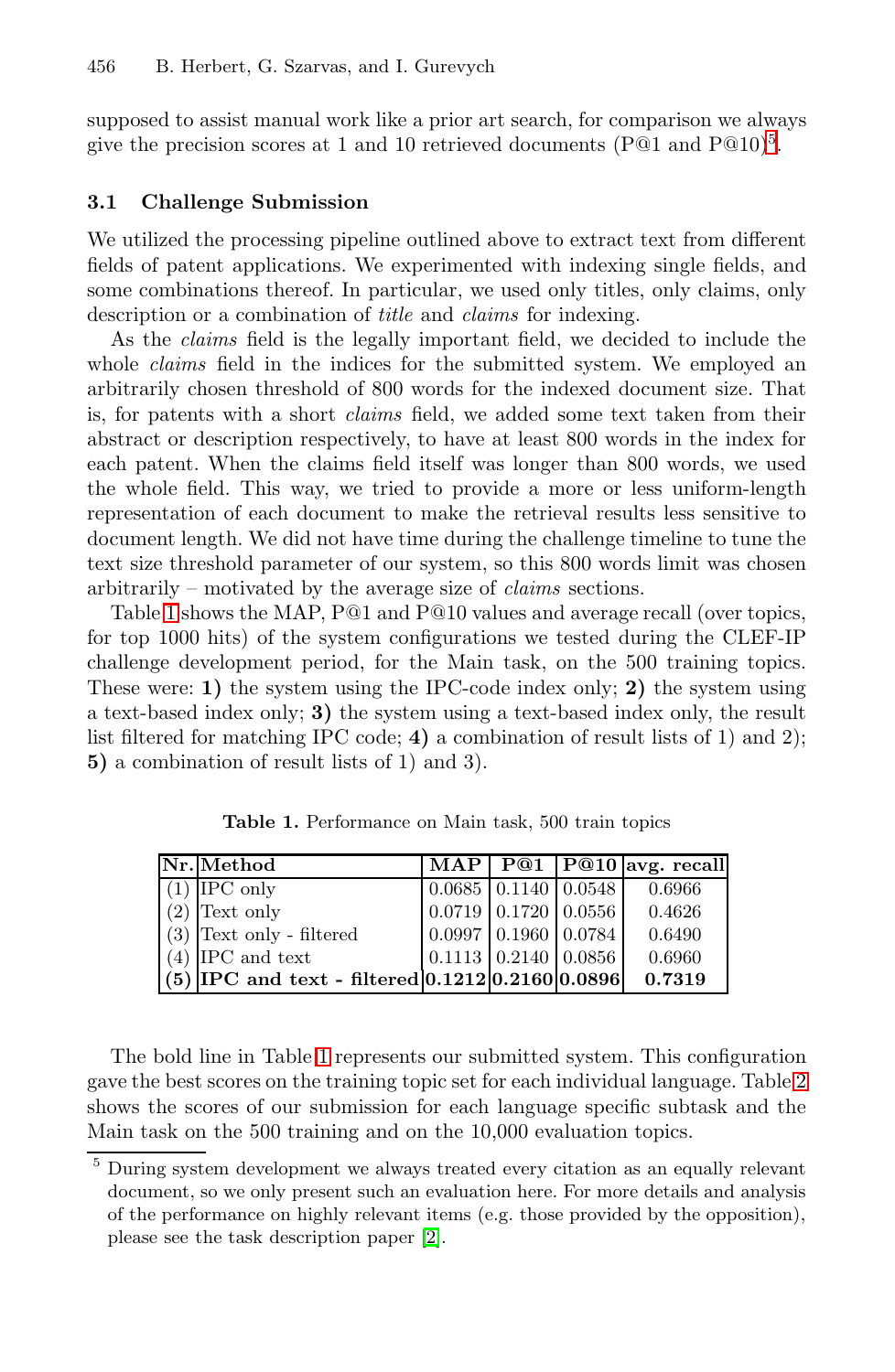supposed to assist manual work like a prior art search, for comparison we always give the precision scores at 1 and 10 retrieved documents  $(P@1$  and  $P@10)^5$ .

#### **3.1 Challenge Submission**

We utilized the processing pipeline outlined above to extract text from different fields of patent applications. We experimented with indexing single fields, and some combinations thereof. In particular, we used only titles, only claims, only description or a combination of *title* and *claims* for indexing.

As the *claims* field is the legally important field, we decided to include the whole *claims* field in the indices for the submitted system. We employed an arbitrarily chosen threshold of 800 words for the indexed document size. That is, for patents with a short *claims* field, we added some text taken from their abstract or description respectively, to have at least 800 words in the index for each patent. When the claims field itself was longer than 800 words, we used the whole field. This way, we tried to provide a more or less uniform-length representation of each document to make the retrieval results less sensitive to document length. We did not have time during the challenge timeline to tune the text size threshold parameter of our system, so this 800 words limit was chosen arbitrarily – motivated by the average size of *claims* sections.

Table 1 shows the MAP, P@1 and P@10 values and average recall (over topics, for top 1000 hits) of the system configurations we tested during the CLEF-IP challenge development period, for the Main task, on the 500 training topics. These were: **1)** the system using the IPC-code index only; **2)** the system using a text-based index only; **3)** the system using a text-based index only, the result list filtered for matching IPC code; **4)** a combination of result lists of 1) and 2); **5)** a combination of result lists of 1) and 3).

| Nr. Method                                          |                                                |  | MAP   P@1   P@10   avg. recall |
|-----------------------------------------------------|------------------------------------------------|--|--------------------------------|
| $(1)$ IPC only                                      | $0.0685$   0.1140   0.0548                     |  | 0.6966                         |
| $(2)$ Text only                                     | $\vert 0.0719 \vert 0.1720 \vert 0.0556 \vert$ |  | 0.4626                         |
| $(3)$ Text only - filtered                          | $\mid 0.0997 \mid 0.1960 \mid 0.0784 \mid$     |  | 0.6490                         |
| $(4)$ IPC and text                                  | $0.1113 \mid 0.2140 \mid 0.0856 \mid$          |  | 0.6960                         |
| $ (5)$ IPC and text - filtered 0.1212 0.2160 0.0896 |                                                |  | 0.7319                         |

**Table 1.** Performance on Main task, 500 train topics

The bold line i[n](#page-7-1) [T](#page-7-1)able 1 represents our submitted system. This configuration gave the best scores on the training topic set for each individual language. Table 2 shows the scores of our submission for each language specific subtask and the Main task on the 500 training and on the 10,000 evaluation topics.

 $5$  During system development we always treated every citation as an equally relevant document, so we only present such an evaluation here. For more details and analysis of the performance on highly relevant items (e.g. those provided by the opposition), please see the task description paper [2].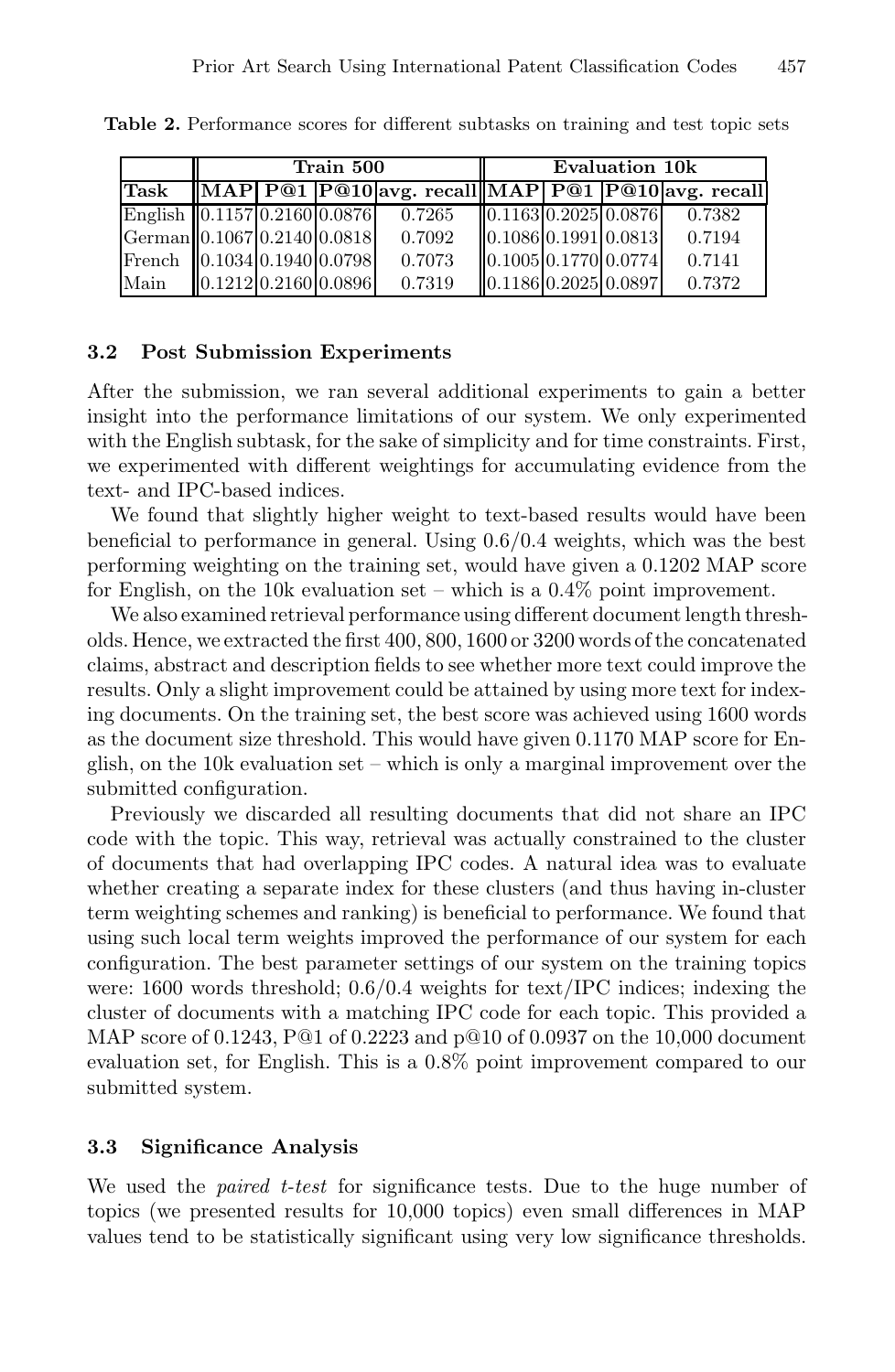|                                        | Train 500            |  |  |                                                   | Evaluation 10k                                 |  |  |        |
|----------------------------------------|----------------------|--|--|---------------------------------------------------|------------------------------------------------|--|--|--------|
| Task                                   |                      |  |  | MAP P@1 P@10 avg. recall MAP P@1 P@10 avg. recall |                                                |  |  |        |
| English $(0.1157 \, 0.2160 \, 0.0876)$ |                      |  |  | 0.7265                                            | [0.1163] 0.2025] 0.0876]                       |  |  | 0.7382 |
| German $ 0.1067 0.2140 0.0818 $        |                      |  |  | 0.7092                                            | $\big  0.1086 \big  0.1991 \big  0.0813 \big $ |  |  | 0.7194 |
| French 0.1034 0.1940 0.0798            |                      |  |  | 0.7073                                            | 0.1005 0.1770 0.0774                           |  |  | 0.7141 |
| Main                                   | 0.1212 0.2160 0.0896 |  |  | 0.7319                                            | 0.1186 0.2025 0.0897                           |  |  | 0.7372 |

**Table 2.** Performance scores for different subtasks on training and test topic sets

#### **3.2 Post Submission Experiments**

After the submission, we ran several additional experiments to gain a better insight into the performance limitations of our system. We only experimented with the English subtask, for the sake of simplicity and for time constraints. First, we experimented with different weightings for accumulating evidence from the text- and IPC-based indices.

We found that slightly higher weight to text-based results would have been beneficial to performance in general. Using 0.6/0.4 weights, which was the best performing weighting on the training set, would have given a 0.1202 MAP score for English, on the 10k evaluation set – which is a 0.4% point improvement.

We also examined retrieval performance using different document length thresholds. Hence, we extracted the first 400, 800, 1600 or 3200 words of the concatenated claims, abstract and description fields to see whether more text could improve the results. Only a slight improvement could be attained by using more text for indexing documents. On the training set, the best score was achieved using 1600 words as the document size threshold. This would have given 0.1170 MAP score for English, on the 10k evaluation set – which is only a marginal improvement over the submitted configuration.

Previously we discarded all resulting documents that did not share an IPC code with the topic. This way, retrieval was actually constrained to the cluster of documents that had overlapping IPC codes. A natural idea was to evaluate whether creating a separate index for these clusters (and thus having in-cluster term weighting schemes and ranking) is beneficial to performance. We found that using such local term weights improved the performance of our system for each configuration. The best parameter settings of our system on the training topics were: 1600 words threshold; 0.6/0.4 weights for text/IPC indices; indexing the cluster of documents with a matching IPC code for each topic. This provided a MAP score of 0.1243, P@1 of 0.2223 and  $p@10$  of 0.0937 on the 10,000 document evaluation set, for English. This is a 0.8% point improvement compared to our submitted system.

### **3.3 Significance Analysis**

We used the *paired t-test* for significance tests. Due to the huge number of topics (we presented results for 10,000 topics) even small differences in MAP values tend to be statistically significant using very low significance thresholds.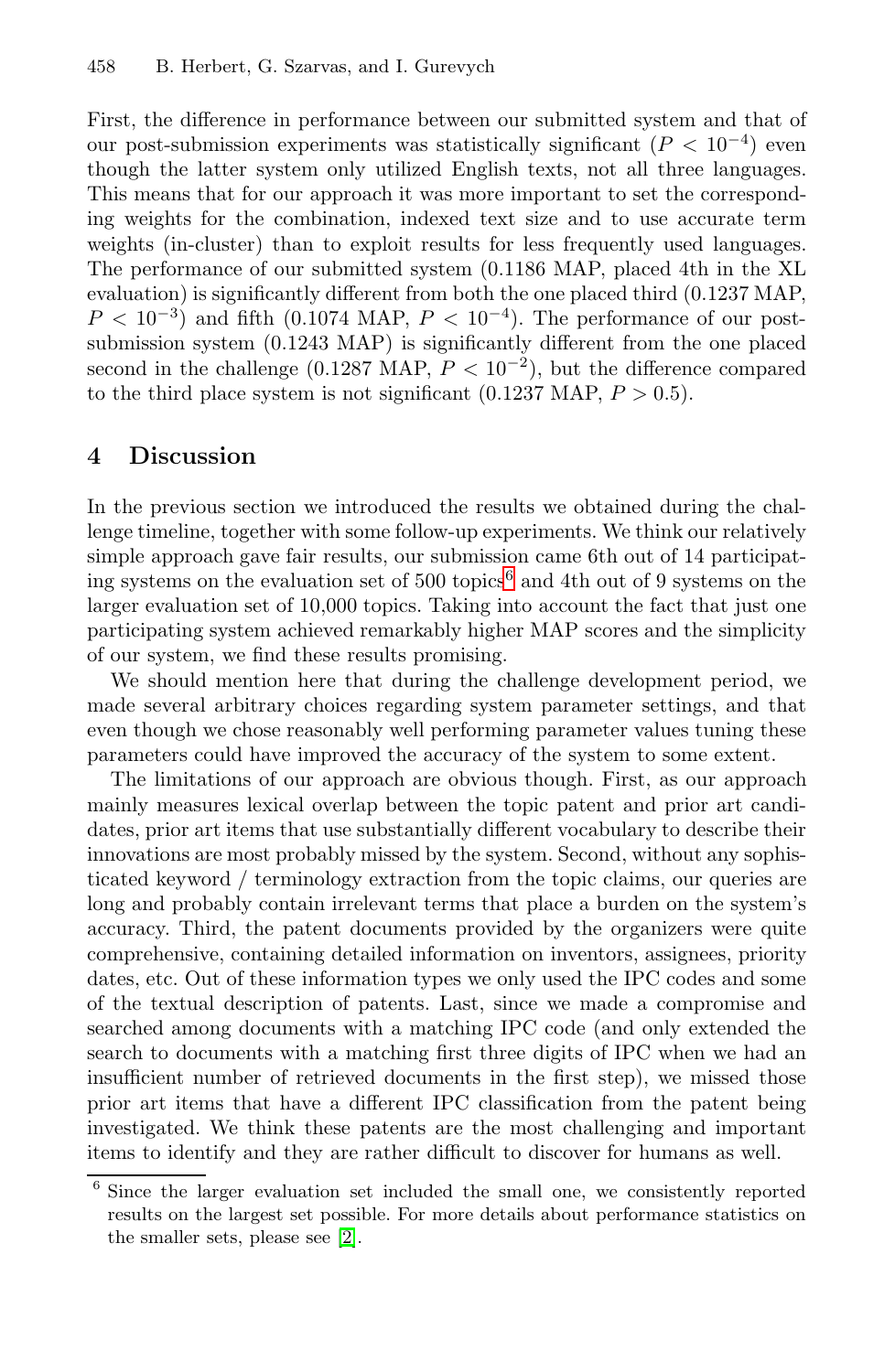#### 458 B. Herbert, G. Szarvas, and I. Gurevych

First, the difference in performance between our submitted system and that of our post-submission experiments was statistically significant  $(P < 10^{-4})$  even though the latter system only utilized English texts, not all three languages. This means that for our approach it was more important to set the corresponding weights for the combination, indexed text size and to use accurate term weights (in-cluster) than to exploit results for less frequently used languages. The performance of our submitted system (0.1186 MAP, placed 4th in the XL evaluation) is significantly different from both the one placed third (0.1237 MAP,  $P < 10^{-3}$ ) and fifth (0.1074 MAP,  $P < 10^{-4}$ ). The performance of our postsubmission system (0.1243 MAP) is significantly different from the one placed second in the challenge (0.1287 MAP,  $P < 10^{-2}$ ), but the difference compared to the third place [s](#page-6-0)ystem is not significant  $(0.1237 \text{ MAP}, P > 0.5)$ .

## **4 Discussion**

In the previous section we introduced the results we obtained during the challenge timeline, together with some follow-up experiments. We think our relatively simple approach gave fair results, our submission came 6th out of 14 participating systems on the evaluation set of  $500$  topics<sup>6</sup> and 4th out of 9 systems on the larger evaluation set of 10,000 topics. Taking into account the fact that just one participating system achieved remarkably higher MAP scores and the simplicity of our system, we find these results promising.

We should mention here that during the challenge development period, we made several arbitrary choices regarding system parameter settings, and that even though we chose reasonably well performing parameter values tuning these parameters could have improved the accuracy of the system to some extent.

The limitations of our approach are obvious though. First, as our approach mainly measures lexical overlap between the topic patent and prior art candidates, prior art items that use substantially different vocabulary to describe their innovations are most probably missed by the system. Second, without any sophisticated keyword / terminology extraction from the topic claims, our queries are long and probably contain irrelevant terms that place a burden on the system's accuracy. Third, the patent documents provided by the organizers were quite comprehensive, containing detailed information on inventors, assignees, priority dates, etc. Out of these information types we only used the IPC codes and some of the textual description of patents. Last, since we made a compromise and searched among documents with a matching IPC code (and only extended the search to [d](#page-7-1)ocuments with a matching first three digits of IPC when we had an insufficient number of retrieved documents in the first step), we missed those prior art items that have a different IPC classification from the patent being investigated. We think these patents are the most challenging and important items to identify and they are rather difficult to discover for humans as well.

<span id="page-6-0"></span><sup>6</sup> Since the larger evaluation set included the small one, we consistently reported results on the largest set possible. For more details about performance statistics on the smaller sets, please see [2].